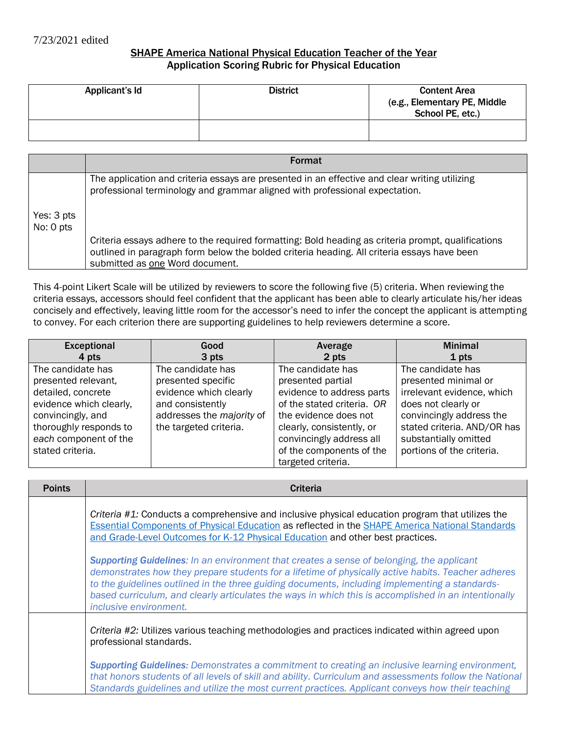## SHAPE America National Physical Education Teacher of the Year Application Scoring Rubric for Physical Education

| Applicant's Id | <b>District</b> | <b>Content Area</b><br>(e.g., Elementary PE, Middle<br>School PE, etc.) |
|----------------|-----------------|-------------------------------------------------------------------------|
|                |                 |                                                                         |

|                         | <b>Format</b>                                                                                                                                                                                                                        |
|-------------------------|--------------------------------------------------------------------------------------------------------------------------------------------------------------------------------------------------------------------------------------|
|                         | The application and criteria essays are presented in an effective and clear writing utilizing<br>professional terminology and grammar aligned with professional expectation.                                                         |
| Yes: 3 pts<br>No: 0 pts |                                                                                                                                                                                                                                      |
|                         | Criteria essays adhere to the required formatting: Bold heading as criteria prompt, qualifications<br>outlined in paragraph form below the bolded criteria heading. All criteria essays have been<br>submitted as one Word document. |

This 4-point Likert Scale will be utilized by reviewers to score the following five (5) criteria. When reviewing the criteria essays, accessors should feel confident that the applicant has been able to clearly articulate his/her ideas concisely and effectively, leaving little room for the accessor's need to infer the concept the applicant is attempting to convey. For each criterion there are supporting guidelines to help reviewers determine a score.

| Exceptional             | Good                      | Average                    | <b>Minimal</b>              |
|-------------------------|---------------------------|----------------------------|-----------------------------|
| 4 pts                   | 3 pts                     | 2 pts                      | 1 pts                       |
| The candidate has       | The candidate has         | The candidate has          | The candidate has           |
| presented relevant,     | presented specific        | presented partial          | presented minimal or        |
| detailed, concrete      | evidence which clearly    | evidence to address parts  | irrelevant evidence, which  |
| evidence which clearly, | and consistently          | of the stated criteria. OR | does not clearly or         |
| convincingly, and       | addresses the majority of | the evidence does not      | convincingly address the    |
| thoroughly responds to  | the targeted criteria.    | clearly, consistently, or  | stated criteria. AND/OR has |
| each component of the   |                           | convincingly address all   | substantially omitted       |
| stated criteria.        |                           | of the components of the   | portions of the criteria.   |
|                         |                           | targeted criteria.         |                             |

| <b>Points</b> | <b>Criteria</b>                                                                                                                                                                                                                                                                                                                                                                                                                            |  |  |  |
|---------------|--------------------------------------------------------------------------------------------------------------------------------------------------------------------------------------------------------------------------------------------------------------------------------------------------------------------------------------------------------------------------------------------------------------------------------------------|--|--|--|
|               | Criteria $#1$ : Conducts a comprehensive and inclusive physical education program that utilizes the<br><b>Essential Components of Physical Education as reflected in the SHAPE America National Standards</b><br>and Grade-Level Outcomes for K-12 Physical Education and other best practices.                                                                                                                                            |  |  |  |
|               | <b>Supporting Guidelines:</b> In an environment that creates a sense of belonging, the applicant<br>demonstrates how they prepare students for a lifetime of physically active habits. Teacher adheres<br>to the guidelines outlined in the three guiding documents, including implementing a standards-<br>based curriculum, and clearly articulates the ways in which this is accomplished in an intentionally<br>inclusive environment. |  |  |  |
|               | Criteria #2: Utilizes various teaching methodologies and practices indicated within agreed upon<br>professional standards.                                                                                                                                                                                                                                                                                                                 |  |  |  |
|               | <b>Supporting Guidelines:</b> Demonstrates a commitment to creating an inclusive learning environment,<br>that honors students of all levels of skill and ability. Curriculum and assessments follow the National<br>Standards guidelines and utilize the most current practices. Applicant conveys how their teaching                                                                                                                     |  |  |  |